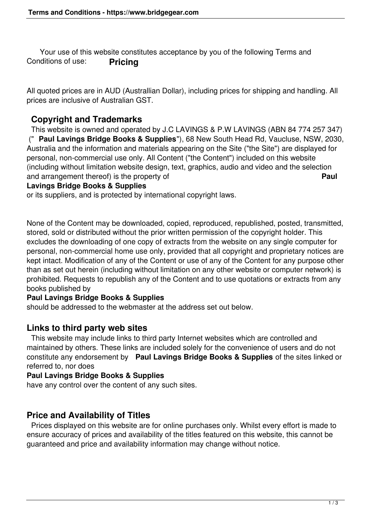Your use of this website constitutes acceptance by you of the following Terms and Conditions of use: **Pricing**

All quoted prices are in AUD (Australlian Dollar), including prices for shipping and handling. All prices are inclusive of Australian GST.

# **Copyright and Trademarks**

 This website is owned and operated by J.C LAVINGS & P.W LAVINGS (ABN 84 774 257 347) (" **Paul Lavings Bridge Books & Supplies**"), 68 New South Head Rd, Vaucluse, NSW, 2030, Australia and the information and materials appearing on the Site ("the Site") are displayed for personal, non-commercial use only. All Content ("the Content") included on this website (including without limitation website design, text, graphics, audio and video and the selection and arrangement thereof) is the property of **Paul**

#### **Lavings Bridge Books & Supplies**

or its suppliers, and is protected by international copyright laws.

None of the Content may be downloaded, copied, reproduced, republished, posted, transmitted, stored, sold or distributed without the prior written permission of the copyright holder. This excludes the downloading of one copy of extracts from the website on any single computer for personal, non-commercial home use only, provided that all copyright and proprietary notices are kept intact. Modification of any of the Content or use of any of the Content for any purpose other than as set out herein (including without limitation on any other website or computer network) is prohibited. Requests to republish any of the Content and to use quotations or extracts from any books published by

# **Paul Lavings Bridge Books & Supplies**

should be addressed to the webmaster at the address set out below.

# **Links to third party web sites**

 This website may include links to third party Internet websites which are controlled and maintained by others. These links are included solely for the convenience of users and do not constitute any endorsement by **Paul Lavings Bridge Books & Supplies** of the sites linked or referred to, nor does

### **Paul Lavings Bridge Books & Supplies**

have any control over the content of any such sites.

# **Price and Availability of Titles**

 Prices displayed on this website are for online purchases only. Whilst every effort is made to ensure accuracy of prices and availability of the titles featured on this website, this cannot be guaranteed and price and availability information may change without notice.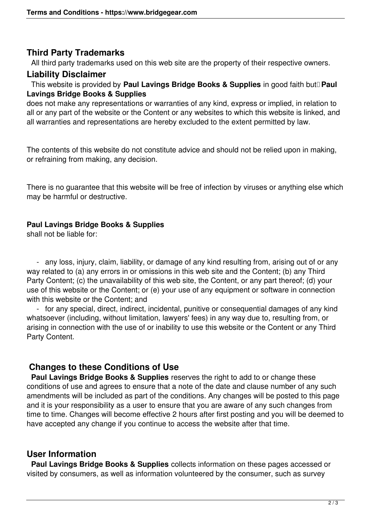### **Third Party Trademarks**

All third party trademarks used on this web site are the property of their respective owners.

### **Liability Disclaimer**

 This website is provided by **Paul Lavings Bridge Books & Supplies** in good faith but **Paul Lavings Bridge Books & Supplies**

does not make any representations or warranties of any kind, express or implied, in relation to all or any part of the website or the Content or any websites to which this website is linked, and all warranties and representations are hereby excluded to the extent permitted by law.

The contents of this website do not constitute advice and should not be relied upon in making, or refraining from making, any decision.

There is no guarantee that this website will be free of infection by viruses or anything else which may be harmful or destructive.

### **Paul Lavings Bridge Books & Supplies**

shall not be liable for:

 - any loss, injury, claim, liability, or damage of any kind resulting from, arising out of or any way related to (a) any errors in or omissions in this web site and the Content; (b) any Third Party Content; (c) the unavailability of this web site, the Content, or any part thereof; (d) your use of this website or the Content; or (e) your use of any equipment or software in connection with this website or the Content; and

 - for any special, direct, indirect, incidental, punitive or consequential damages of any kind whatsoever (including, without limitation, lawyers' fees) in any way due to, resulting from, or arising in connection with the use of or inability to use this website or the Content or any Third Party Content.

# **Changes to these Conditions of Use**

 **Paul Lavings Bridge Books & Supplies** reserves the right to add to or change these conditions of use and agrees to ensure that a note of the date and clause number of any such amendments will be included as part of the conditions. Any changes will be posted to this page and it is your responsibility as a user to ensure that you are aware of any such changes from time to time. Changes will become effective 2 hours after first posting and you will be deemed to have accepted any change if you continue to access the website after that time.

# **User Information**

 **Paul Lavings Bridge Books & Supplies** collects information on these pages accessed or visited by consumers, as well as information volunteered by the consumer, such as survey